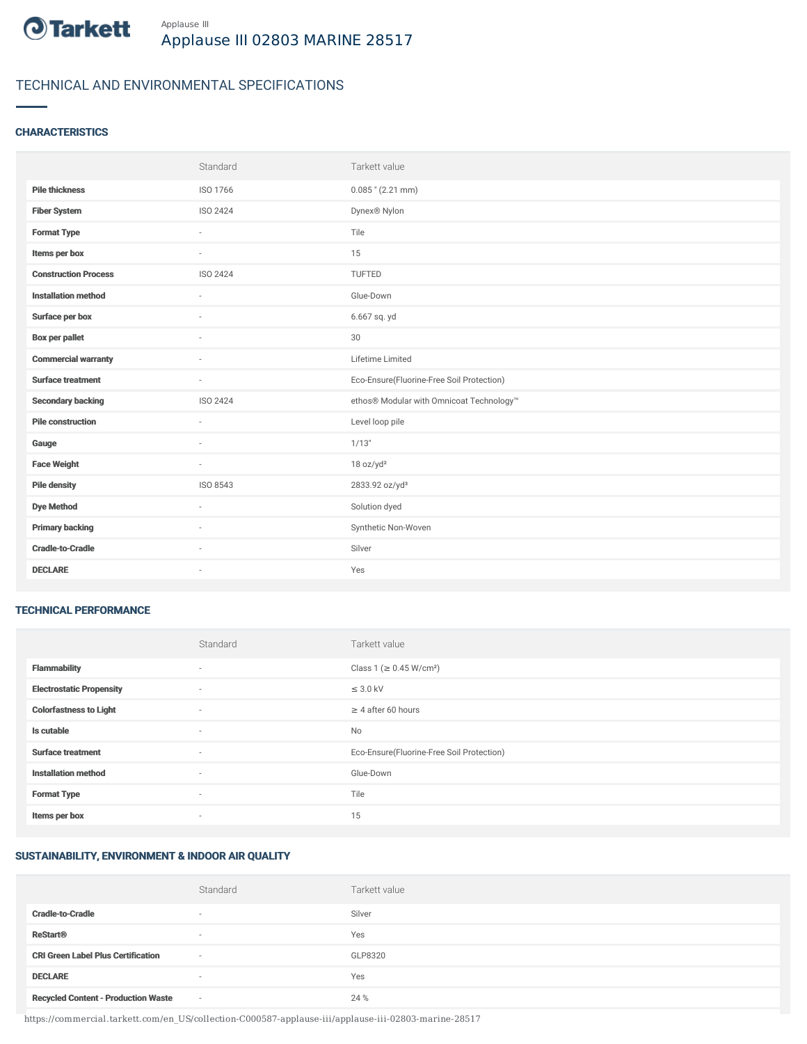

# TECHNICAL AND ENVIRONMENTAL SPECIFICATIONS

#### **CHARACTERISTICS**

|                             | Standard        | Tarkett value                             |
|-----------------------------|-----------------|-------------------------------------------|
| <b>Pile thickness</b>       | ISO 1766        | $0.085$ " (2.21 mm)                       |
| <b>Fiber System</b>         | ISO 2424        | Dynex® Nylon                              |
| <b>Format Type</b>          | ä,              | Tile                                      |
| Items per box               |                 | 15                                        |
| <b>Construction Process</b> | <b>ISO 2424</b> | <b>TUFTED</b>                             |
| <b>Installation method</b>  | ×.              | Glue-Down                                 |
| Surface per box             | $\sim$          | 6.667 sq. yd                              |
| <b>Box per pallet</b>       | ×               | 30                                        |
| <b>Commercial warranty</b>  | $\sim$          | Lifetime Limited                          |
| <b>Surface treatment</b>    | $\sim$          | Eco-Ensure(Fluorine-Free Soil Protection) |
| <b>Secondary backing</b>    | ISO 2424        | ethos® Modular with Omnicoat Technology™  |
| <b>Pile construction</b>    | ÷               | Level loop pile                           |
| Gauge                       | $\sim$          | 1/13"                                     |
| <b>Face Weight</b>          | $\bar{a}$       | 18 oz/yd <sup>2</sup>                     |
| <b>Pile density</b>         | ISO 8543        | 2833.92 oz/yd <sup>3</sup>                |
| <b>Dye Method</b>           | $\sim$          | Solution dyed                             |
| <b>Primary backing</b>      | ٠               | Synthetic Non-Woven                       |
|                             |                 |                                           |
| <b>Cradle-to-Cradle</b>     |                 | Silver                                    |

#### TECHNICAL PERFORMANCE

|                                 | Standard                 | Tarkett value                             |
|---------------------------------|--------------------------|-------------------------------------------|
| <b>Flammability</b>             | ٠                        | Class 1 (≥ 0.45 W/cm <sup>2</sup> )       |
| <b>Electrostatic Propensity</b> | $\sim$                   | $\leq$ 3.0 kV                             |
| <b>Colorfastness to Light</b>   | ٠                        | $\geq 4$ after 60 hours                   |
| Is cutable                      | ٠                        | No                                        |
| <b>Surface treatment</b>        | ٠                        | Eco-Ensure(Fluorine-Free Soil Protection) |
| <b>Installation method</b>      | ٠                        | Glue-Down                                 |
| <b>Format Type</b>              | $\sim$                   | Tile                                      |
| Items per box                   | $\overline{\phantom{a}}$ | 15                                        |

### SUSTAINABILITY, ENVIRONMENT & INDOOR AIR QUALITY

|                                            | Standard                 | Tarkett value |
|--------------------------------------------|--------------------------|---------------|
| <b>Cradle-to-Cradle</b>                    | $\overline{\phantom{a}}$ | Silver        |
| <b>ReStart<sup>®</sup></b>                 |                          | Yes           |
| <b>CRI Green Label Plus Certification</b>  | $\sim$                   | GLP8320       |
| <b>DECLARE</b>                             | $\overline{\phantom{a}}$ | Yes           |
| <b>Recycled Content - Production Waste</b> | $\sim$                   | 24 %          |

https://commercial.tarkett.com/en\_US/collection-C000587-applause-iii/applause-iii-02803-marine-28517